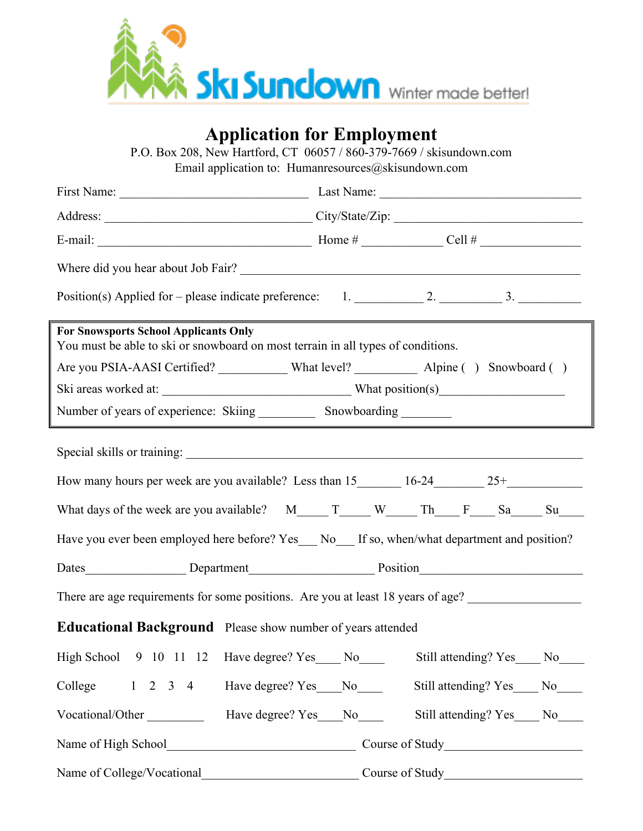

# **Application for Employment**

P.O. Box 208, New Hartford, CT 06057 / 860-379-7669 / skisundown.com Email application to: Humanresources@skisundown.com

| <b>For Snowsports School Applicants Only</b><br>You must be able to ski or snowboard on most terrain in all types of conditions.                                                                                                                          | <u> 1989 - Johann Barnett, fransk politik (d. 1989)</u> |  |                                 |  |
|-----------------------------------------------------------------------------------------------------------------------------------------------------------------------------------------------------------------------------------------------------------|---------------------------------------------------------|--|---------------------------------|--|
| Are you PSIA-AASI Certified? _____________ What level? _____________ Alpine () Snowboard ()                                                                                                                                                               |                                                         |  |                                 |  |
|                                                                                                                                                                                                                                                           |                                                         |  |                                 |  |
|                                                                                                                                                                                                                                                           |                                                         |  |                                 |  |
| Special skills or training: Special skills or training:<br>What days of the week are you available? M_____ T_____ W______ Th_____ F_____ Sa_____ Su_____<br>Have you ever been employed here before? Yes__ No__ If so, when/what department and position? |                                                         |  |                                 |  |
| There are age requirements for some positions. Are you at least 18 years of age?                                                                                                                                                                          |                                                         |  |                                 |  |
| <b>Educational Background</b> Please show number of years attended                                                                                                                                                                                        |                                                         |  |                                 |  |
| High School 9 10 11 12 Have degree? Yes No                                                                                                                                                                                                                |                                                         |  | Still attending? Yes____ No____ |  |
| College 1 2 3 4 Have degree? Yes No                                                                                                                                                                                                                       |                                                         |  | Still attending? Yes____ No____ |  |
| Have degree? Yes___No____<br>Vocational/Other                                                                                                                                                                                                             |                                                         |  | Still attending? Yes____ No____ |  |
| Name of High School<br><u>Letter and the set of the set of the set of the set of the set of the set of the set of the set of the set of the set of the set of the set of the set of the set of the set of the set of the set of th</u>                    |                                                         |  |                                 |  |
|                                                                                                                                                                                                                                                           |                                                         |  |                                 |  |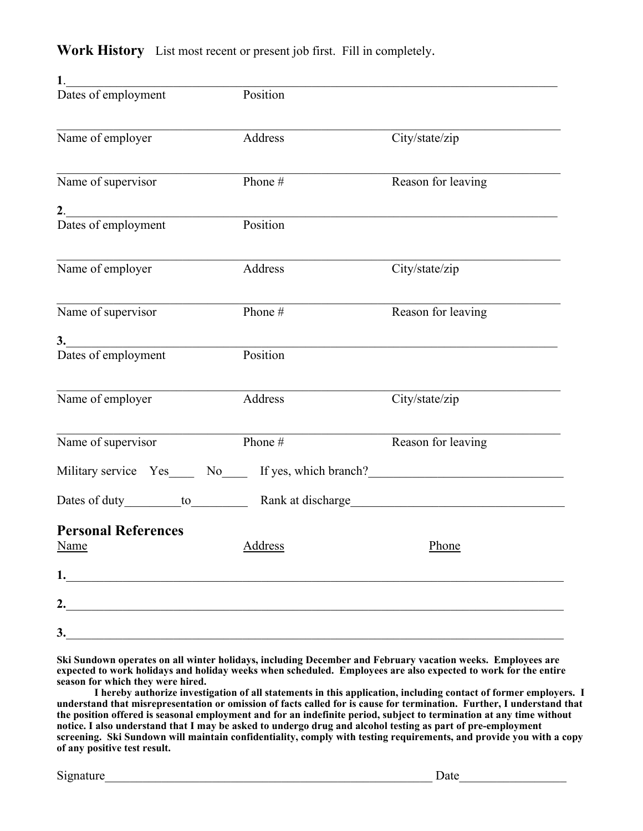#### **Work History** List most recent or present job first. Fill in completely.

| 1.                                                                               |                |                                          |
|----------------------------------------------------------------------------------|----------------|------------------------------------------|
| Dates of employment                                                              | Position       |                                          |
| Name of employer                                                                 | Address        | City/state/zip                           |
| Name of supervisor                                                               | Phone #        | Reason for leaving                       |
|                                                                                  |                |                                          |
| 2.<br>Dates of employment                                                        | Position       |                                          |
| Name of employer                                                                 | Address        | City/state/zip                           |
| Name of supervisor                                                               | Phone #        | Reason for leaving                       |
|                                                                                  |                |                                          |
| 3. Dates of employment                                                           | Position       |                                          |
| Name of employer                                                                 | Address        | City/state/zip                           |
| Name of supervisor                                                               | Phone #        | Reason for leaving                       |
| Military service Yes____ No____ If yes, which branch?___________________________ |                |                                          |
|                                                                                  |                | Rank at discharge<br><u>Example 2014</u> |
| <b>Personal References</b><br>Name                                               | <b>Address</b> | Phone                                    |
| 1.                                                                               |                |                                          |
| 2.                                                                               |                |                                          |
| 3.                                                                               |                |                                          |

**Ski Sundown operates on all winter holidays, including December and February vacation weeks. Employees are expected to work holidays and holiday weeks when scheduled. Employees are also expected to work for the entire season for which they were hired.**

**I hereby authorize investigation of all statements in this application, including contact of former employers. I understand that misrepresentation or omission of facts called for is cause for termination. Further, I understand that the position offered is seasonal employment and for an indefinite period, subject to termination at any time without notice. I also understand that I may be asked to undergo drug and alcohol testing as part of pre-employment screening. Ski Sundown will maintain confidentiality, comply with testing requirements, and provide you with a copy of any positive test result.**

Signature\_\_\_\_\_\_\_\_\_\_\_\_\_\_\_\_\_\_\_\_\_\_\_\_\_\_\_\_\_\_\_\_\_\_\_\_\_\_\_\_\_\_\_\_\_\_\_\_\_\_\_\_ Date\_\_\_\_\_\_\_\_\_\_\_\_\_\_\_\_\_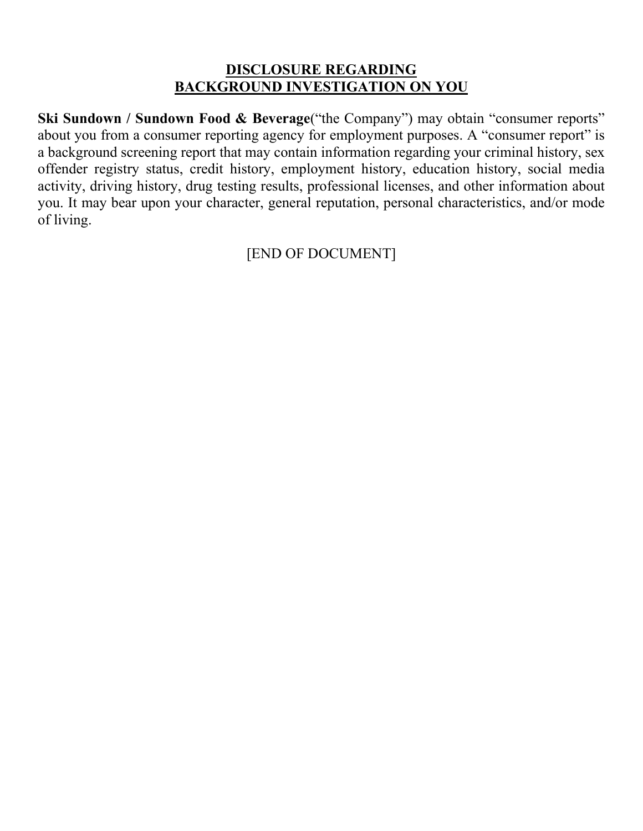### **DISCLOSURE REGARDING BACKGROUND INVESTIGATION ON YOU**

**Ski Sundown / Sundown Food & Beverage**("the Company") may obtain "consumer reports" about you from a consumer reporting agency for employment purposes. A "consumer report" is a background screening report that may contain information regarding your criminal history, sex offender registry status, credit history, employment history, education history, social media activity, driving history, drug testing results, professional licenses, and other information about you. It may bear upon your character, general reputation, personal characteristics, and/or mode of living.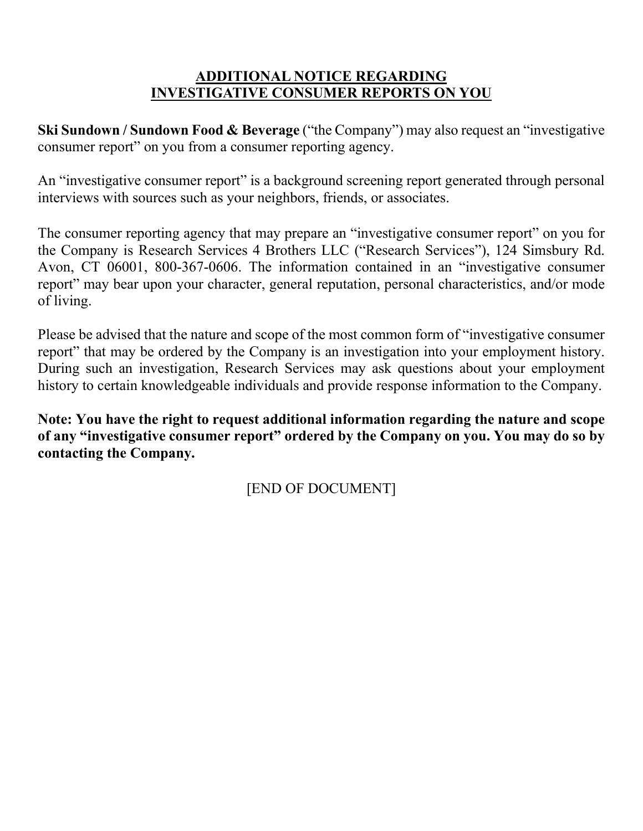# **ADDITIONAL NOTICE REGARDING INVESTIGATIVE CONSUMER REPORTS ON YOU**

**Ski Sundown / Sundown Food & Beverage** ("the Company") may also request an "investigative consumer report" on you from a consumer reporting agency.

An "investigative consumer report" is a background screening report generated through personal interviews with sources such as your neighbors, friends, or associates.

The consumer reporting agency that may prepare an "investigative consumer report" on you for the Company is Research Services 4 Brothers LLC ("Research Services"), 124 Simsbury Rd. Avon, CT 06001, 800-367-0606. The information contained in an "investigative consumer report" may bear upon your character, general reputation, personal characteristics, and/or mode of living.

Please be advised that the nature and scope of the most common form of "investigative consumer report" that may be ordered by the Company is an investigation into your employment history. During such an investigation, Research Services may ask questions about your employment history to certain knowledgeable individuals and provide response information to the Company.

**Note: You have the right to request additional information regarding the nature and scope of any "investigative consumer report" ordered by the Company on you. You may do so by contacting the Company.**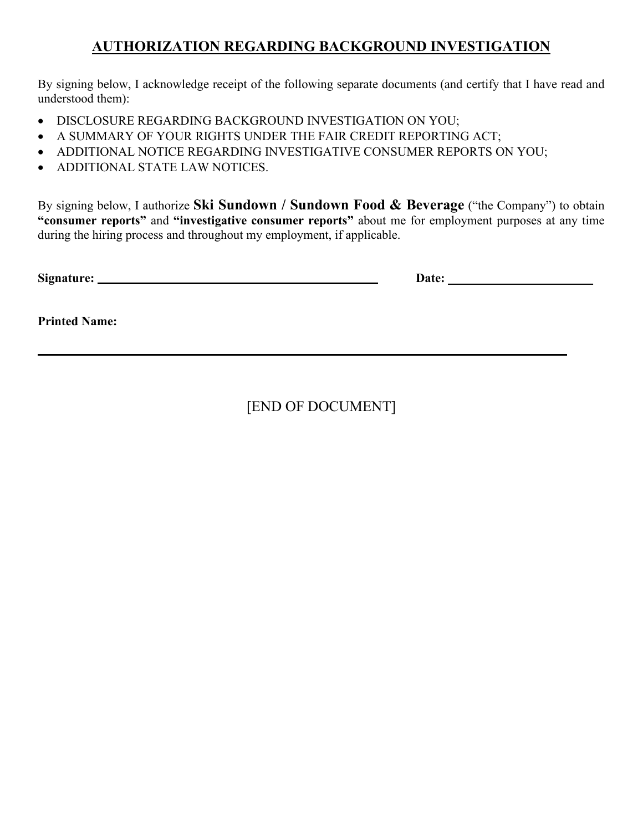# **AUTHORIZATION REGARDING BACKGROUND INVESTIGATION**

By signing below, I acknowledge receipt of the following separate documents (and certify that I have read and understood them):

- DISCLOSURE REGARDING BACKGROUND INVESTIGATION ON YOU;
- A SUMMARY OF YOUR RIGHTS UNDER THE FAIR CREDIT REPORTING ACT;
- ADDITIONAL NOTICE REGARDING INVESTIGATIVE CONSUMER REPORTS ON YOU;
- ADDITIONAL STATE LAW NOTICES.

By signing below, I authorize **Ski Sundown / Sundown Food & Beverage** ("the Company") to obtain **"consumer reports"** and **"investigative consumer reports"** about me for employment purposes at any time during the hiring process and throughout my employment, if applicable.

**Signature: Date: \_\_\_\_\_\_\_\_\_\_\_\_\_\_\_\_\_\_\_\_\_\_\_**

**Printed Name:**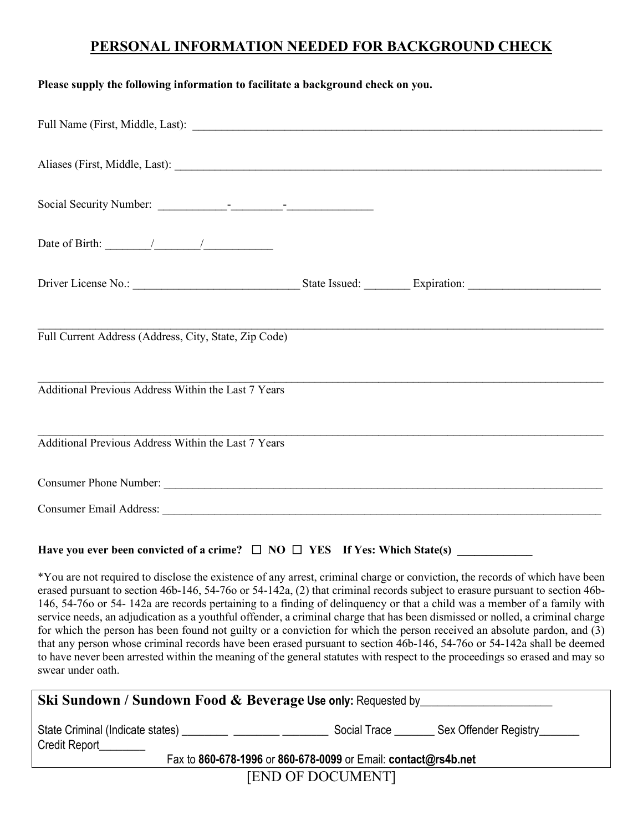# **PERSONAL INFORMATION NEEDED FOR BACKGROUND CHECK**

| Please supply the following information to facilitate a background check on you.                                                                                                                                                                                                                                                                                                                                                                                                                                                                                                                                                                                                                                                                                                                                                                                                                                                   |
|------------------------------------------------------------------------------------------------------------------------------------------------------------------------------------------------------------------------------------------------------------------------------------------------------------------------------------------------------------------------------------------------------------------------------------------------------------------------------------------------------------------------------------------------------------------------------------------------------------------------------------------------------------------------------------------------------------------------------------------------------------------------------------------------------------------------------------------------------------------------------------------------------------------------------------|
|                                                                                                                                                                                                                                                                                                                                                                                                                                                                                                                                                                                                                                                                                                                                                                                                                                                                                                                                    |
|                                                                                                                                                                                                                                                                                                                                                                                                                                                                                                                                                                                                                                                                                                                                                                                                                                                                                                                                    |
|                                                                                                                                                                                                                                                                                                                                                                                                                                                                                                                                                                                                                                                                                                                                                                                                                                                                                                                                    |
|                                                                                                                                                                                                                                                                                                                                                                                                                                                                                                                                                                                                                                                                                                                                                                                                                                                                                                                                    |
|                                                                                                                                                                                                                                                                                                                                                                                                                                                                                                                                                                                                                                                                                                                                                                                                                                                                                                                                    |
| Full Current Address (Address, City, State, Zip Code)                                                                                                                                                                                                                                                                                                                                                                                                                                                                                                                                                                                                                                                                                                                                                                                                                                                                              |
| Additional Previous Address Within the Last 7 Years                                                                                                                                                                                                                                                                                                                                                                                                                                                                                                                                                                                                                                                                                                                                                                                                                                                                                |
| Additional Previous Address Within the Last 7 Years                                                                                                                                                                                                                                                                                                                                                                                                                                                                                                                                                                                                                                                                                                                                                                                                                                                                                |
|                                                                                                                                                                                                                                                                                                                                                                                                                                                                                                                                                                                                                                                                                                                                                                                                                                                                                                                                    |
|                                                                                                                                                                                                                                                                                                                                                                                                                                                                                                                                                                                                                                                                                                                                                                                                                                                                                                                                    |
| Have you ever been convicted of a crime? $\Box$ NO $\Box$ YES If Yes: Which State(s)                                                                                                                                                                                                                                                                                                                                                                                                                                                                                                                                                                                                                                                                                                                                                                                                                                               |
| *You are not required to disclose the existence of any arrest, criminal charge or conviction, the records of which have been<br>erased pursuant to section 46b-146, 54-760 or 54-142a, (2) that criminal records subject to erasure pursuant to section 46b-<br>146, 54-760 or 54-142a are records pertaining to a finding of delinquency or that a child was a member of a family with<br>service needs, an adjudication as a youthful offender, a criminal charge that has been dismissed or nolled, a criminal charge<br>for which the person has been found not guilty or a conviction for which the person received an absolute pardon, and (3)<br>that any person whose criminal records have been erased pursuant to section 46b-146, 54-760 or 54-142a shall be deemed<br>to have never been arrested within the meaning of the general statutes with respect to the proceedings so erased and may so<br>swear under oath. |
| Ski Sundown / Sundown Food & Beverage Use only: Requested by                                                                                                                                                                                                                                                                                                                                                                                                                                                                                                                                                                                                                                                                                                                                                                                                                                                                       |

| State Criminal (Indicate states) | Social Trace | Sex Offender Registry |
|----------------------------------|--------------|-----------------------|
| Credit Report                    |              |                       |
| AAA ATA JAAA                     | AAA ATA AAAA |                       |

Fax to **860-678-1996** or **860-678-0099** or Email: **contact@rs4b.net**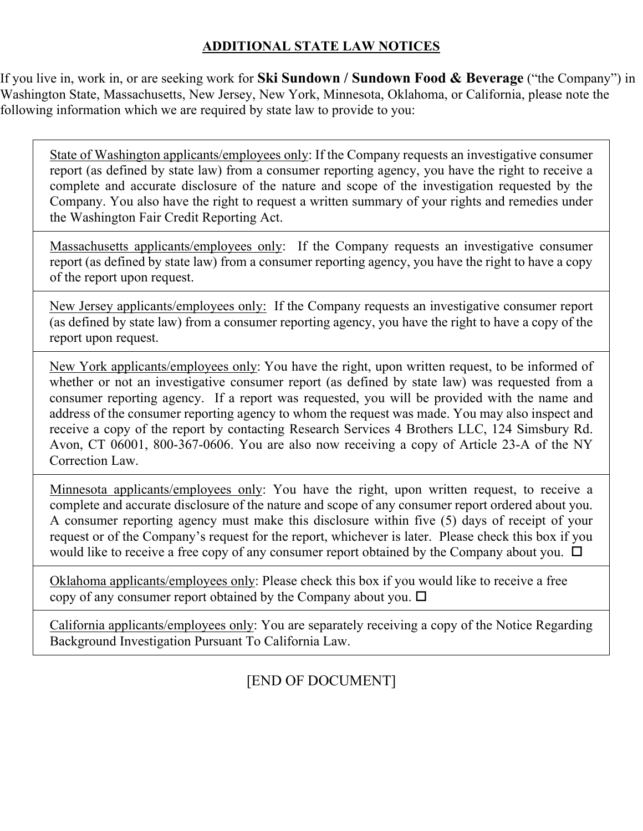### **ADDITIONAL STATE LAW NOTICES**

If you live in, work in, or are seeking work for **Ski Sundown / Sundown Food & Beverage** ("the Company") in Washington State, Massachusetts, New Jersey, New York, Minnesota, Oklahoma, or California, please note the following information which we are required by state law to provide to you:

State of Washington applicants/employees only: If the Company requests an investigative consumer report (as defined by state law) from a consumer reporting agency, you have the right to receive a complete and accurate disclosure of the nature and scope of the investigation requested by the Company. You also have the right to request a written summary of your rights and remedies under the Washington Fair Credit Reporting Act.

Massachusetts applicants/employees only: If the Company requests an investigative consumer report (as defined by state law) from a consumer reporting agency, you have the right to have a copy of the report upon request.

New Jersey applicants/employees only: If the Company requests an investigative consumer report (as defined by state law) from a consumer reporting agency, you have the right to have a copy of the report upon request.

New York applicants/employees only: You have the right, upon written request, to be informed of whether or not an investigative consumer report (as defined by state law) was requested from a consumer reporting agency. If a report was requested, you will be provided with the name and address of the consumer reporting agency to whom the request was made. You may also inspect and receive a copy of the report by contacting Research Services 4 Brothers LLC, 124 Simsbury Rd. Avon, CT 06001, 800-367-0606. You are also now receiving a copy of Article 23-A of the NY Correction Law.

Minnesota applicants/employees only: You have the right, upon written request, to receive a complete and accurate disclosure of the nature and scope of any consumer report ordered about you. A consumer reporting agency must make this disclosure within five (5) days of receipt of your request or of the Company's request for the report, whichever is later. Please check this box if you would like to receive a free copy of any consumer report obtained by the Company about you.  $\Box$ 

Oklahoma applicants/employees only: Please check this box if you would like to receive a free copy of any consumer report obtained by the Company about you.  $\Box$ 

California applicants/employees only: You are separately receiving a copy of the Notice Regarding Background Investigation Pursuant To California Law.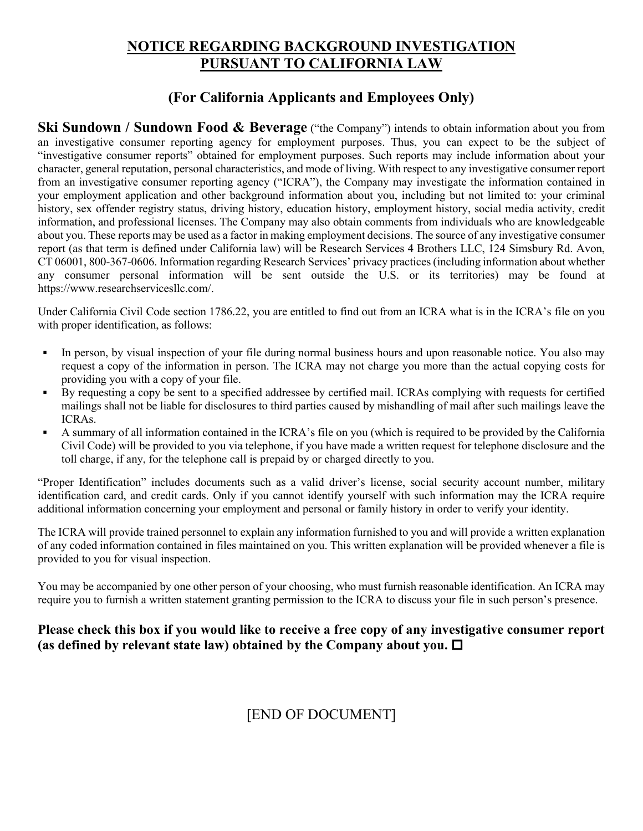# **NOTICE REGARDING BACKGROUND INVESTIGATION PURSUANT TO CALIFORNIA LAW**

# **(For California Applicants and Employees Only)**

**Ski Sundown / Sundown Food & Beverage** ("the Company") intends to obtain information about you from an investigative consumer reporting agency for employment purposes. Thus, you can expect to be the subject of "investigative consumer reports" obtained for employment purposes. Such reports may include information about your character, general reputation, personal characteristics, and mode of living. With respect to any investigative consumer report from an investigative consumer reporting agency ("ICRA"), the Company may investigate the information contained in your employment application and other background information about you, including but not limited to: your criminal history, sex offender registry status, driving history, education history, employment history, social media activity, credit information, and professional licenses. The Company may also obtain comments from individuals who are knowledgeable about you. These reports may be used as a factor in making employment decisions. The source of any investigative consumer report (as that term is defined under California law) will be Research Services 4 Brothers LLC, 124 Simsbury Rd. Avon, CT 06001, 800-367-0606. Information regarding Research Services' privacy practices (including information about whether any consumer personal information will be sent outside the U.S. or its territories) may be found at https://www.researchservicesllc.com/.

Under California Civil Code section 1786.22, you are entitled to find out from an ICRA what is in the ICRA's file on you with proper identification, as follows:

- In person, by visual inspection of your file during normal business hours and upon reasonable notice. You also may request a copy of the information in person. The ICRA may not charge you more than the actual copying costs for providing you with a copy of your file.
- By requesting a copy be sent to a specified addressee by certified mail. ICRAs complying with requests for certified mailings shall not be liable for disclosures to third parties caused by mishandling of mail after such mailings leave the ICRAs.
- A summary of all information contained in the ICRA's file on you (which is required to be provided by the California Civil Code) will be provided to you via telephone, if you have made a written request for telephone disclosure and the toll charge, if any, for the telephone call is prepaid by or charged directly to you.

"Proper Identification" includes documents such as a valid driver's license, social security account number, military identification card, and credit cards. Only if you cannot identify yourself with such information may the ICRA require additional information concerning your employment and personal or family history in order to verify your identity.

The ICRA will provide trained personnel to explain any information furnished to you and will provide a written explanation of any coded information contained in files maintained on you. This written explanation will be provided whenever a file is provided to you for visual inspection.

You may be accompanied by one other person of your choosing, who must furnish reasonable identification. An ICRA may require you to furnish a written statement granting permission to the ICRA to discuss your file in such person's presence.

#### **Please check this box if you would like to receive a free copy of any investigative consumer report**  (as defined by relevant state law) obtained by the Company about you.  $\Box$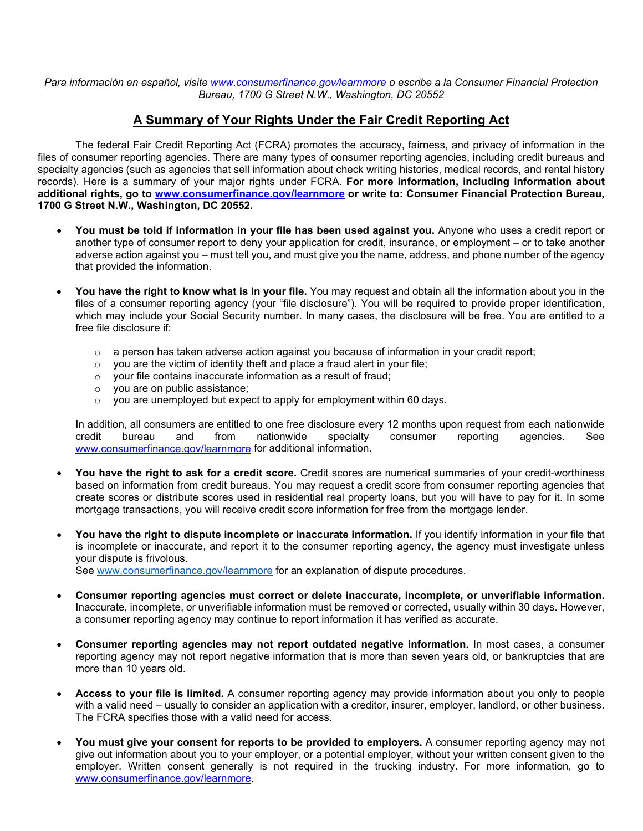*Para información en español, visite [www.consumerfinance.gov/learnmore](http://www.consumerfinance.gov/learnmore) o escribe a la Consumer Financial Protection Bureau, 1700 G Street N.W., Washington, DC 20552*

#### **A Summary of Your Rights Under the Fair Credit Reporting Act**

The federal Fair Credit Reporting Act (FCRA) promotes the accuracy, fairness, and privacy of information in the files of consumer reporting agencies. There are many types of consumer reporting agencies, including credit bureaus and specialty agencies (such as agencies that sell information about check writing histories, medical records, and rental history records). Here is a summary of your major rights under FCRA. **For more information, including information about additional rights, go to [www.consumerfinance.gov/learnmore](http://www.consumerfinance.gov/learnmore) or write to: Consumer Financial Protection Bureau, 1700 G Street N.W., Washington, DC 20552.**

- **You must be told if information in your file has been used against you.** Anyone who uses a credit report or another type of consumer report to deny your application for credit, insurance, or employment – or to take another adverse action against you – must tell you, and must give you the name, address, and phone number of the agency that provided the information.
- **You have the right to know what is in your file.** You may request and obtain all the information about you in the files of a consumer reporting agency (your "file disclosure"). You will be required to provide proper identification, which may include your Social Security number. In many cases, the disclosure will be free. You are entitled to a free file disclosure if:
	- $\circ$  a person has taken adverse action against you because of information in your credit report;
	- $\circ$  you are the victim of identity theft and place a fraud alert in your file;
	- o your file contains inaccurate information as a result of fraud;
	- o you are on public assistance;
	- o you are unemployed but expect to apply for employment within 60 days.

In addition, all consumers are entitled to one free disclosure every 12 months upon request from each nationwide credit bureau and from nationwide specialty consumer reporting agencies. See credit bureau and from nationwide specialty consumer reporting agencies. See [www.consumerfinance.gov/learnmore](http://www.consumerfinance.gov/learnmore) for additional information.

- **You have the right to ask for a credit score.** Credit scores are numerical summaries of your credit-worthiness based on information from credit bureaus. You may request a credit score from consumer reporting agencies that create scores or distribute scores used in residential real property loans, but you will have to pay for it. In some mortgage transactions, you will receive credit score information for free from the mortgage lender.
- **You have the right to dispute incomplete or inaccurate information.** If you identify information in your file that is incomplete or inaccurate, and report it to the consumer reporting agency, the agency must investigate unless your dispute is frivolous.

See [www.consumerfinance.gov/learnmore](http://www.consumerfinance.gov/learnmore) for an explanation of dispute procedures.

- **Consumer reporting agencies must correct or delete inaccurate, incomplete, or unverifiable information.**  Inaccurate, incomplete, or unverifiable information must be removed or corrected, usually within 30 days. However, a consumer reporting agency may continue to report information it has verified as accurate.
- **Consumer reporting agencies may not report outdated negative information.** In most cases, a consumer reporting agency may not report negative information that is more than seven years old, or bankruptcies that are more than 10 years old.
- **Access to your file is limited.** A consumer reporting agency may provide information about you only to people with a valid need – usually to consider an application with a creditor, insurer, employer, landlord, or other business. The FCRA specifies those with a valid need for access.
- **You must give your consent for reports to be provided to employers.** A consumer reporting agency may not give out information about you to your employer, or a potential employer, without your written consent given to the employer. Written consent generally is not required in the trucking industry. For more information, go to [www.consumerfinance.gov/learnmore.](http://www.consumerfinance.gov/learnmore)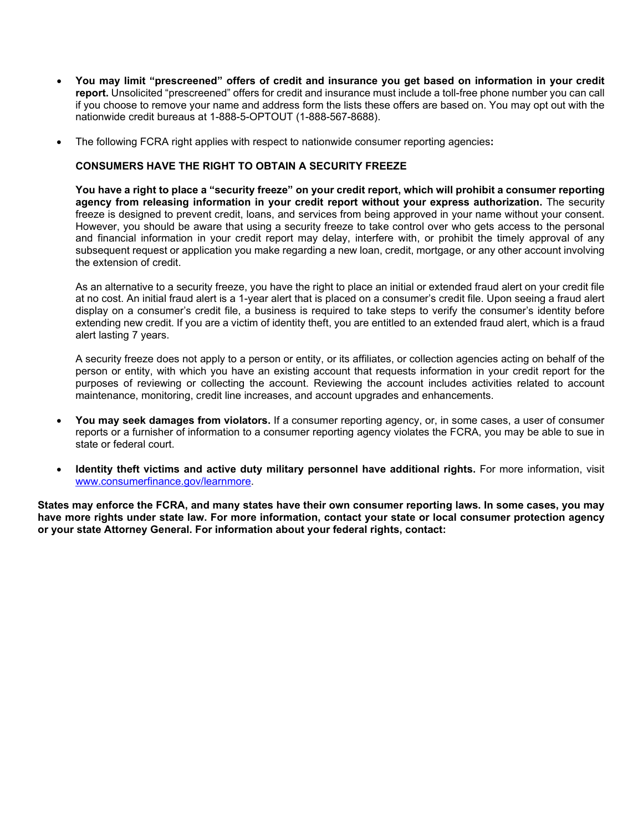- **You may limit "prescreened" offers of credit and insurance you get based on information in your credit report.** Unsolicited "prescreened" offers for credit and insurance must include a toll-free phone number you can call if you choose to remove your name and address form the lists these offers are based on. You may opt out with the nationwide credit bureaus at 1-888-5-OPTOUT (1-888-567-8688).
- The following FCRA right applies with respect to nationwide consumer reporting agencies**:**

#### **CONSUMERS HAVE THE RIGHT TO OBTAIN A SECURITY FREEZE**

**You have a right to place a "security freeze" on your credit report, which will prohibit a consumer reporting agency from releasing information in your credit report without your express authorization.** The security freeze is designed to prevent credit, loans, and services from being approved in your name without your consent. However, you should be aware that using a security freeze to take control over who gets access to the personal and financial information in your credit report may delay, interfere with, or prohibit the timely approval of any subsequent request or application you make regarding a new loan, credit, mortgage, or any other account involving the extension of credit.

As an alternative to a security freeze, you have the right to place an initial or extended fraud alert on your credit file at no cost. An initial fraud alert is a 1-year alert that is placed on a consumer's credit file. Upon seeing a fraud alert display on a consumer's credit file, a business is required to take steps to verify the consumer's identity before extending new credit. If you are a victim of identity theft, you are entitled to an extended fraud alert, which is a fraud alert lasting 7 years.

A security freeze does not apply to a person or entity, or its affiliates, or collection agencies acting on behalf of the person or entity, with which you have an existing account that requests information in your credit report for the purposes of reviewing or collecting the account. Reviewing the account includes activities related to account maintenance, monitoring, credit line increases, and account upgrades and enhancements.

- **You may seek damages from violators.** If a consumer reporting agency, or, in some cases, a user of consumer reports or a furnisher of information to a consumer reporting agency violates the FCRA, you may be able to sue in state or federal court.
- **Identity theft victims and active duty military personnel have additional rights.** For more information, visit [www.consumerfinance.gov/learnmore.](http://www.consumerfinance.gov/learnmore)

**States may enforce the FCRA, and many states have their own consumer reporting laws. In some cases, you may have more rights under state law. For more information, contact your state or local consumer protection agency or your state Attorney General. For information about your federal rights, contact:**